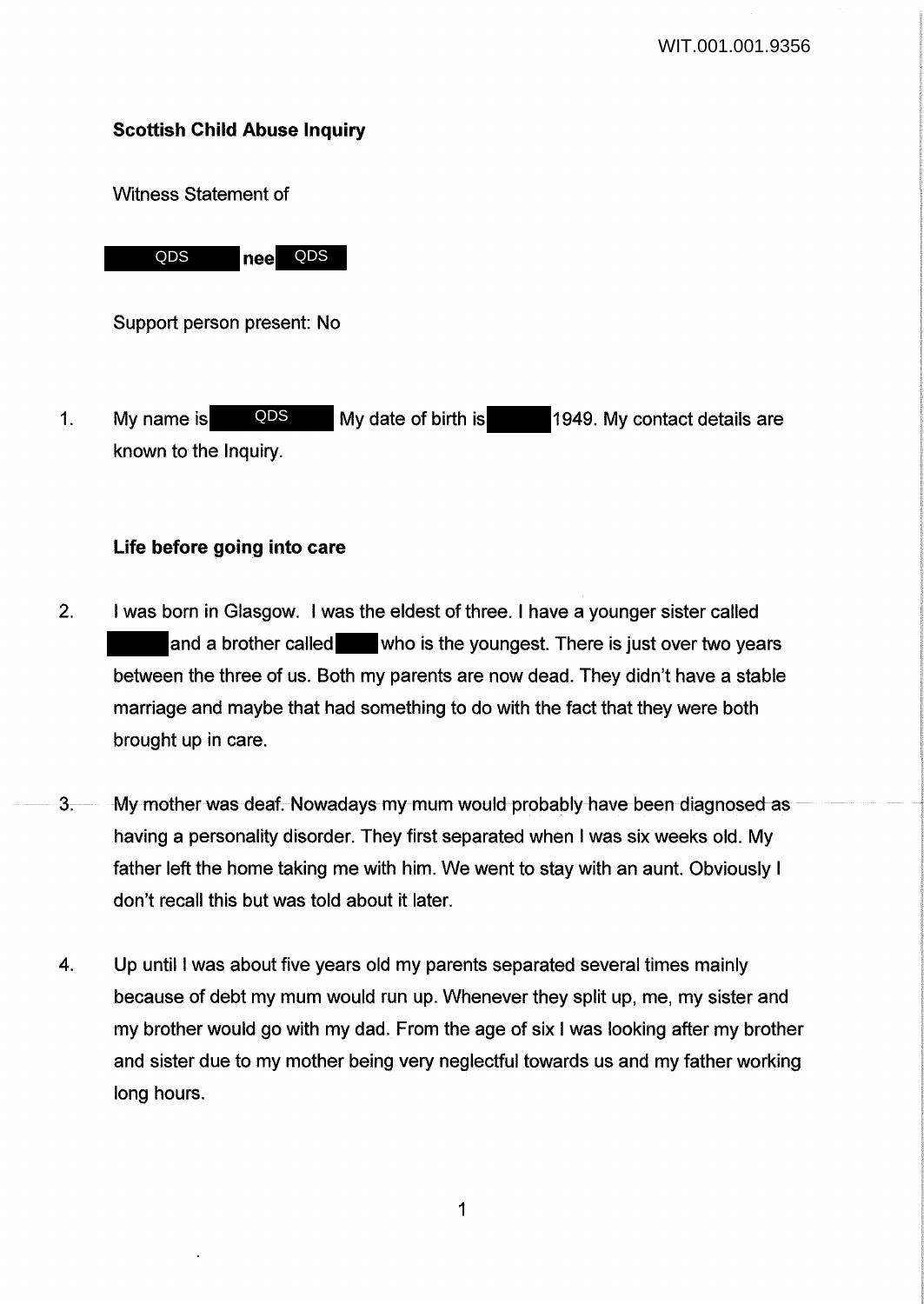# Scottish Child Abuse Inquiry

Witness Statement of



Support person present: No

1. My name is allows and My date of birth is 1949. My contact details are known to the Inquiry. QDS

## Life before going into care

- 2. I was born in Glasgow. I was the eldest of three. I have a younger sister called and a brother called who is the youngest. There is just over two years between the three of us. Both my parents are now dead. They didn't have a stable marriage and maybe that had something to do with the fact that they were both brought up in care.
- 3. My mother was deaf. Nowadays my mum would probably have been diagnosed as having a personality disorder. They first separated when I was six weeks old. My father left the home taking me with him. We went to stay with an aunt. Obviously I don't recall this but was told about it later.
- 4. Up until I was about five years old my parents separated several times mainly because of debt my mum would run up. Whenever they split up, me, my sister and my brother would go with my dad. From the age of six I was looking after my brother and sister due to my mother being very neglectful towards us and my father working long hours.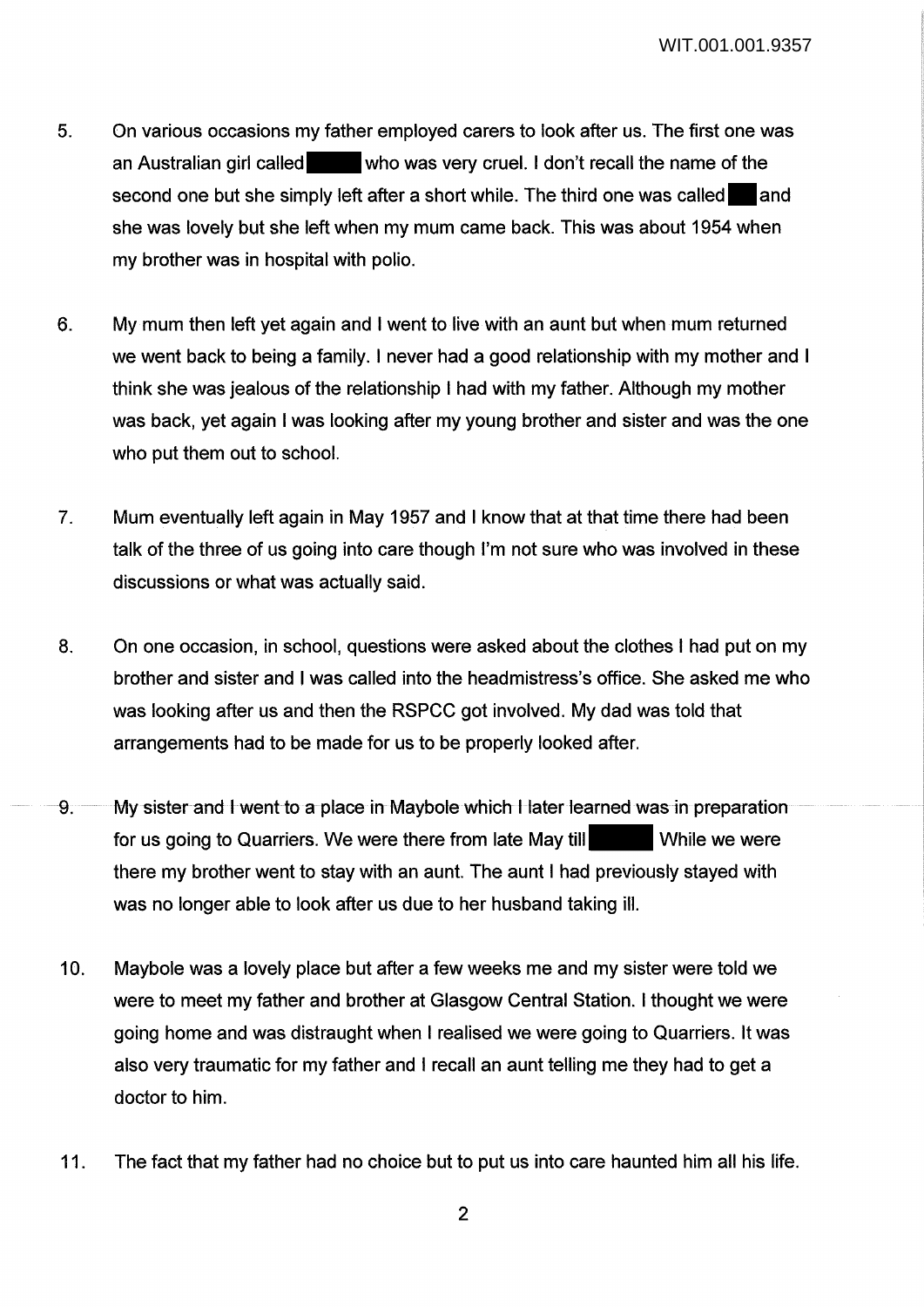- 5. On various occasions my father employed carers to look after us. The first one was an Australian girl called who was very cruel. I don't recall the name of the second one but she simply left after a short while. The third one was called and she was lovely but she left when my mum came back. This was about 1954 when my brother was in hospital with polio.
- 6. My mum then left yet again and I went to live with an aunt but when mum returned we went back to being a family. I never had a good relationship with my mother and I think she was jealous of the relationship I had with my father. Although my mother was back, yet again I was looking after my young brother and sister and was the one who put them out to school.
- 7. Mum eventually left again in May 1957 and I know that at that time there had been talk of the three of us going into care though I'm not sure who was involved in these discussions or what was actually said.
- 8. On one occasion, in school, questions were asked about the clothes I had put on my brother and sister and I was called into the headmistress's office. She asked me who was looking after us and then the RSPCC got involved. My dad was told that arrangements had to be made for us to be properly looked after.
- 9. My sister and I went to a place in Maybole which I later learned was in preparation for us going to Quarriers. We were there from late May till While we were there my brother went to stay with an aunt. The aunt I had previously stayed with was no longer able to look after us due to her husband taking ill.
- 10. Maybole was a lovely place but after a few weeks me and my sister were told we were to meet my father and brother at Glasgow Central Station. I thought we were going home and was distraught when I realised we were going to Quarriers. It was also very traumatic for my father and I recall an aunt telling me they had to get a doctor to him.
- 11. The fact that my father had no choice but to put us into care haunted him all his life.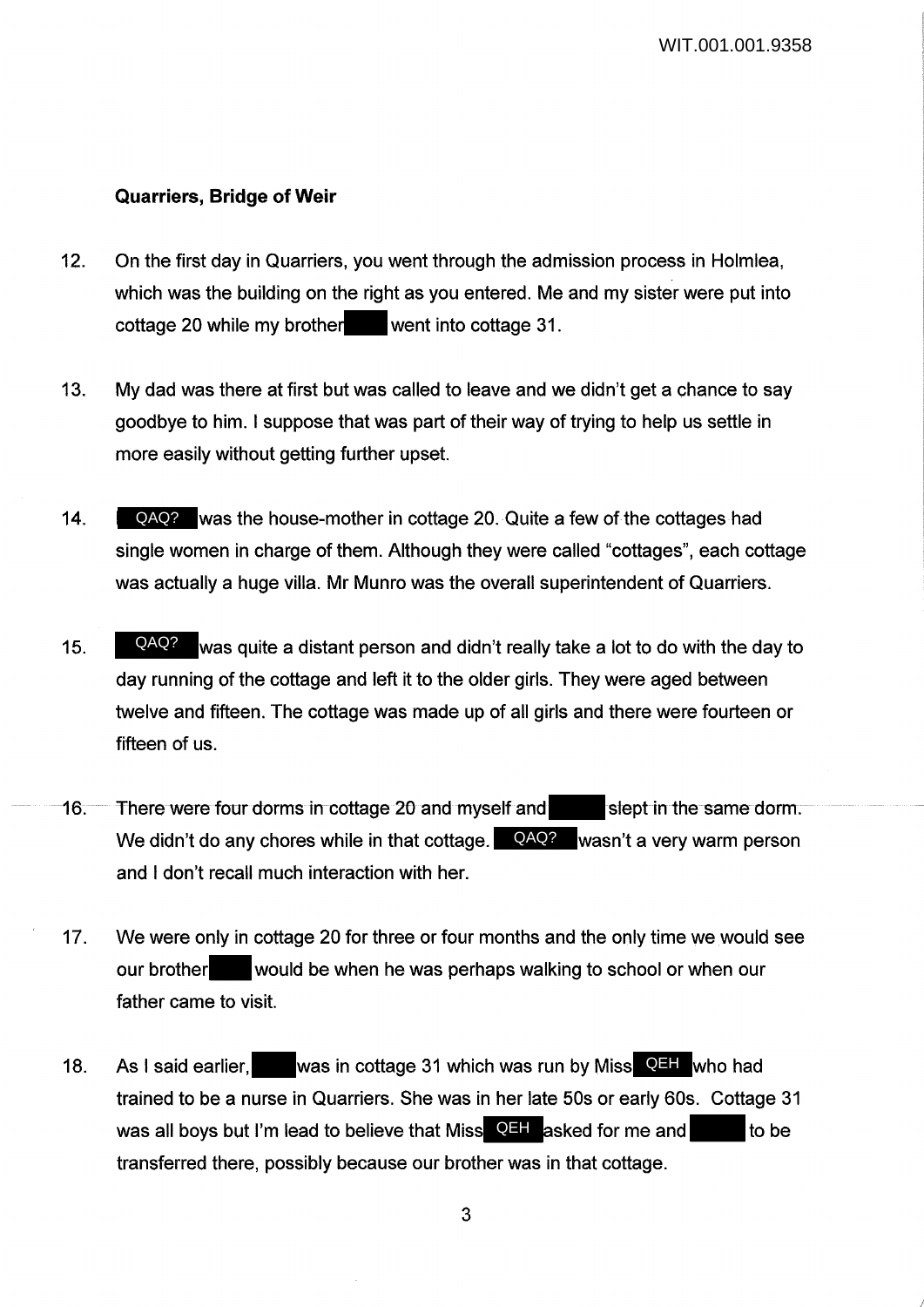I

## **Quarriers, Bridge of Weir**

- 12. On the first day in Quarriers, you went through the admission process in Holmlea, which was the building on the right as you entered. Me and my sister were put into cottage 20 while my brother went into cottage 31.
- 13. My dad was there at first but was called to leave and we didn't get a chance to say goodbye to him. I suppose that was part of their way of trying to help us settle in more easily without getting further upset.
- 14. QAQ? was the house-mother in cottage 20. Quite a few of the cottages had single women in charge of them. Although they were called "cottages", each cottage was actually a huge villa. Mr Munro was the overall superintendent of Quarriers.
- 15. **QAQ?** was quite a distant person and didn't really take a lot to do with the day to day running of the cottage and left it to the older girls. They were aged between twelve and fifteen. The cottage was made up of all girls and there were fourteen or fifteen of us.
- 16. There were four dorms in cottage 20 and myself and slept in the same dorm. We didn't do any chores while in that cottage. QAQ? wasn't a very warm person and I don't recall much interaction with her.
- 17. We were only in cottage 20 for three or four months and the only time we would see our brother would be when he was perhaps walking to school or when our father came to visit.
- 18. As I said earlier, was in cottage 31 which was run by Miss QEH who had trained to be a nurse in Quarriers. She was in her late 50s or early 60s. Cottage 31 was all boys but I'm lead to believe that Miss  $\overline{Q}$ H asked for me and to be transferred there, possibly because our brother was in that cottage.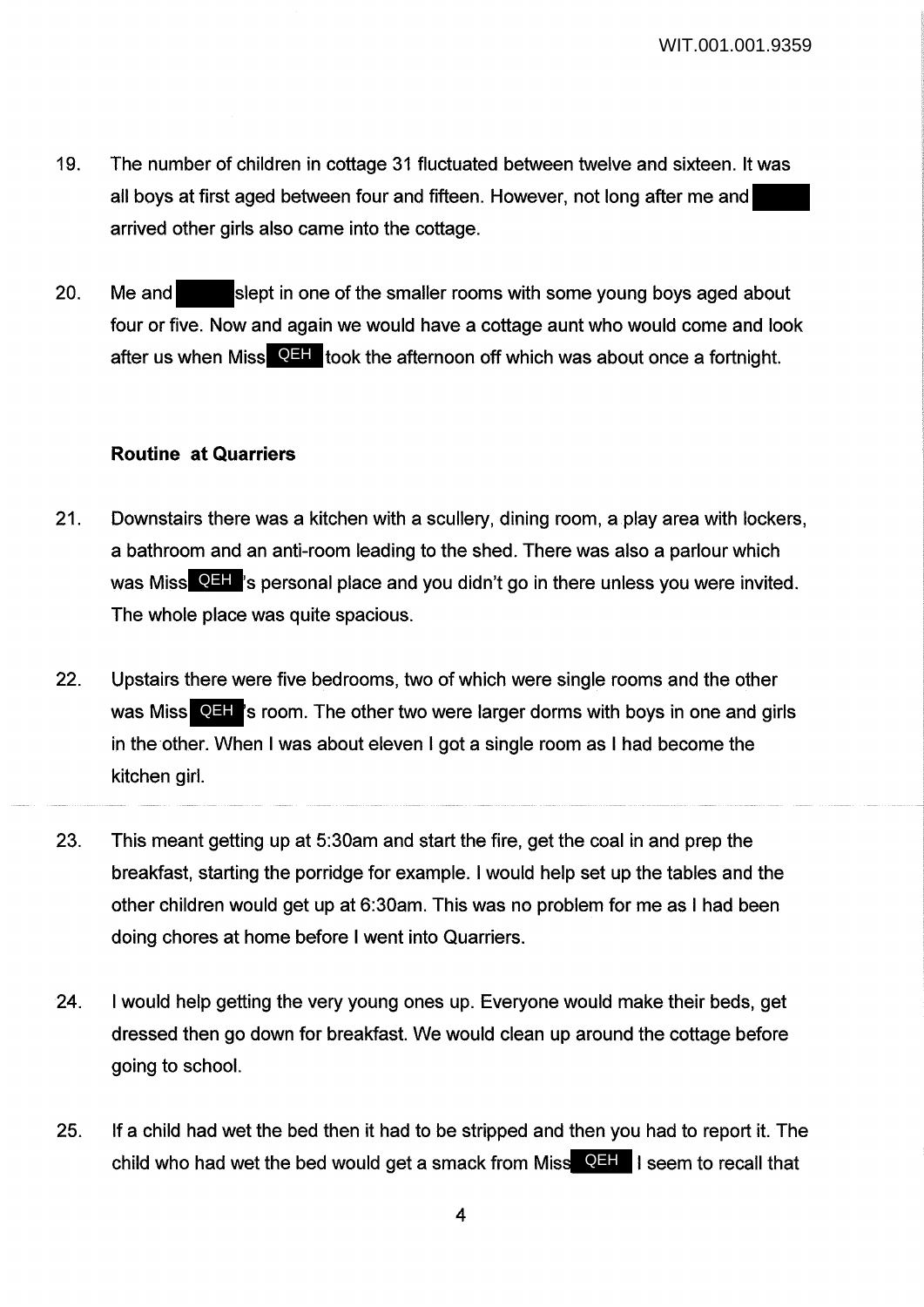- 19. The number of children in cottage 31 fluctuated between twelve and sixteen. It was all boys at first aged between four and fifteen. However, not long after me and arrived other girls also came into the cottage.
- 20. Me and slept in one of the smaller rooms with some young boys aged about four or five. Now and again we would have a cottage aunt who would come and look after us when Miss QHH took the afternoon off which was about once a fortnight.

#### **Routine at Quarriers**

- 21. Downstairs there was a kitchen with a scullery, dining room, a play area with lockers, a bathroom and an anti-room leading to the shed. There was also a parlour which was Miss **QHI** 's personal place and you didn't go in there unless you were invited. The whole place was quite spacious.
- 22. Upstairs there were five bedrooms, two of which were single rooms and the other was Miss **QHF**'s room. The other two were larger dorms with boys in one and girls in the other. When I was about eleven I got a single room as I had become the kitchen girl.
- 23. This meant getting up at 5:30am and start the fire, get the coal in and prep the breakfast, starting the porridge for example. I would help set up the tables and the other children would get up at 6:30am. This was no problem for me as I had been doing chores at home before I went into Quarriers.
- 24. I would help getting the very young ones up. Everyone would make their beds, get dressed then go down for breakfast. We would clean up around the cottage before going to school.
- 25. If a child had wet the bed then it had to be stripped and then you had to report it. The child who had wet the bed would get a smack from Miss QEH I seem to recall that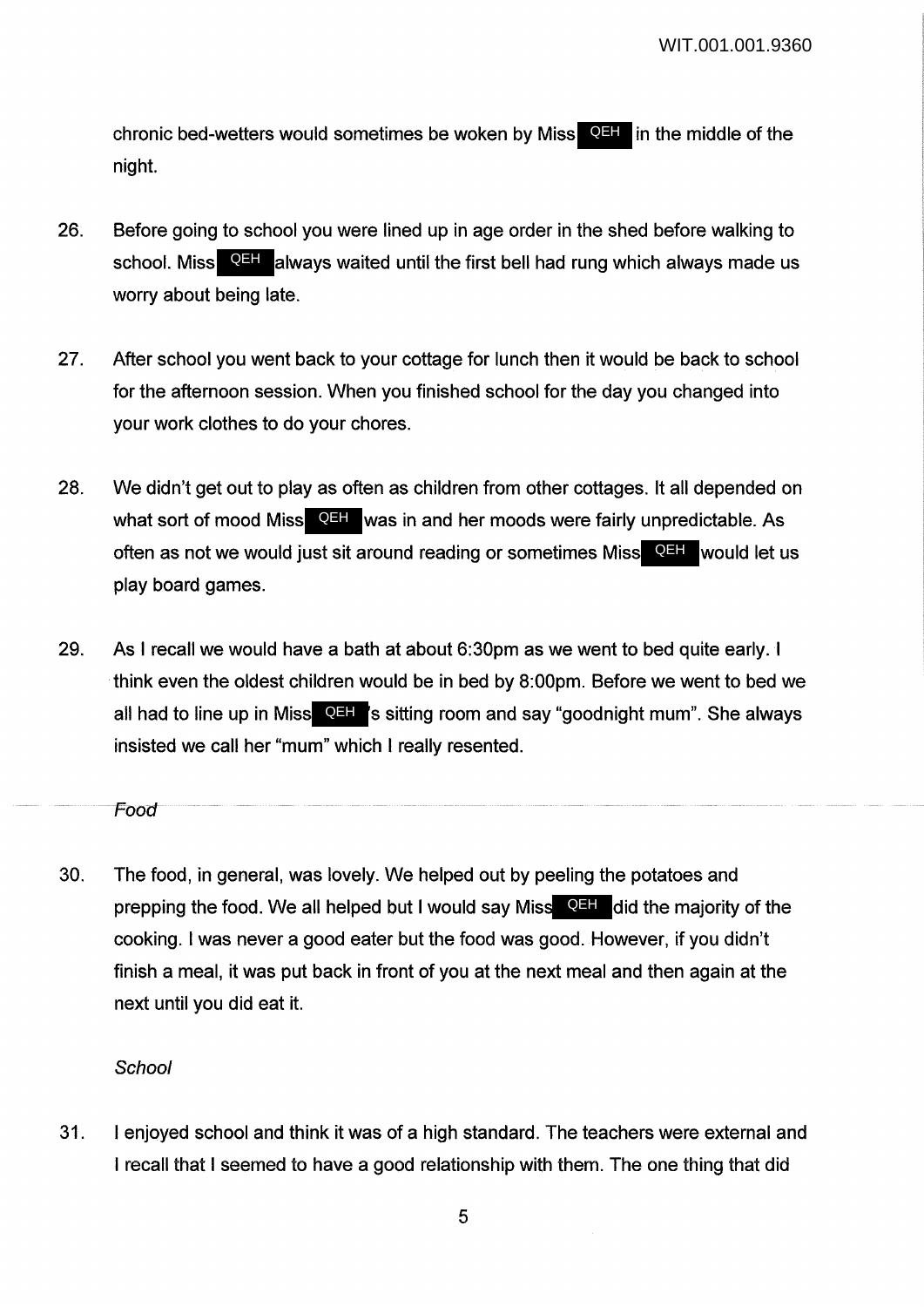chronic bed-wetters would sometimes be woken by Miss **QEH** in the middle of the night.

- 26. Before going to school you were lined up in age order in the shed before walking to school. Miss **QEH** always waited until the first bell had rung which always made us worry about being late.
- 27. After school you went back to your cottage for lunch then it would be back to school for the afternoon session. When you finished school for the day you changed into your work clothes to do your chores.
- 28. We didn't get out to play as often as children from other cottages. It all depended on what sort of mood Miss **QEH** was in and her moods were fairly unpredictable. As often as not we would just sit around reading or sometimes Miss<sup>ta QEH</sup> would let us play board games.
- 29. As I recall we would have a bath at about 6:30pm as we went to bed quite early. I think even the oldest children would be in bed by 8:00pm. Before we went to bed we all had to line up in Miss**, QEH** is sitting room and say "goodnight mum". She always insisted we call her "mum" which I really resented.

Food

30. The food, in general, was lovely. We helped out by peeling the potatoes and prepping the food. We all helped but I would say Miss **QEH** did the majority of the cooking. I was never a good eater but the food was good. However, if you didn't finish a meal, it was put back in front of you at the next meal and then again at the next until you did eat it.

#### **School**

31. I enjoyed school and think it was of a high standard. The teachers were external and I recall that I seemed to have a good relationship with them. The one thing that did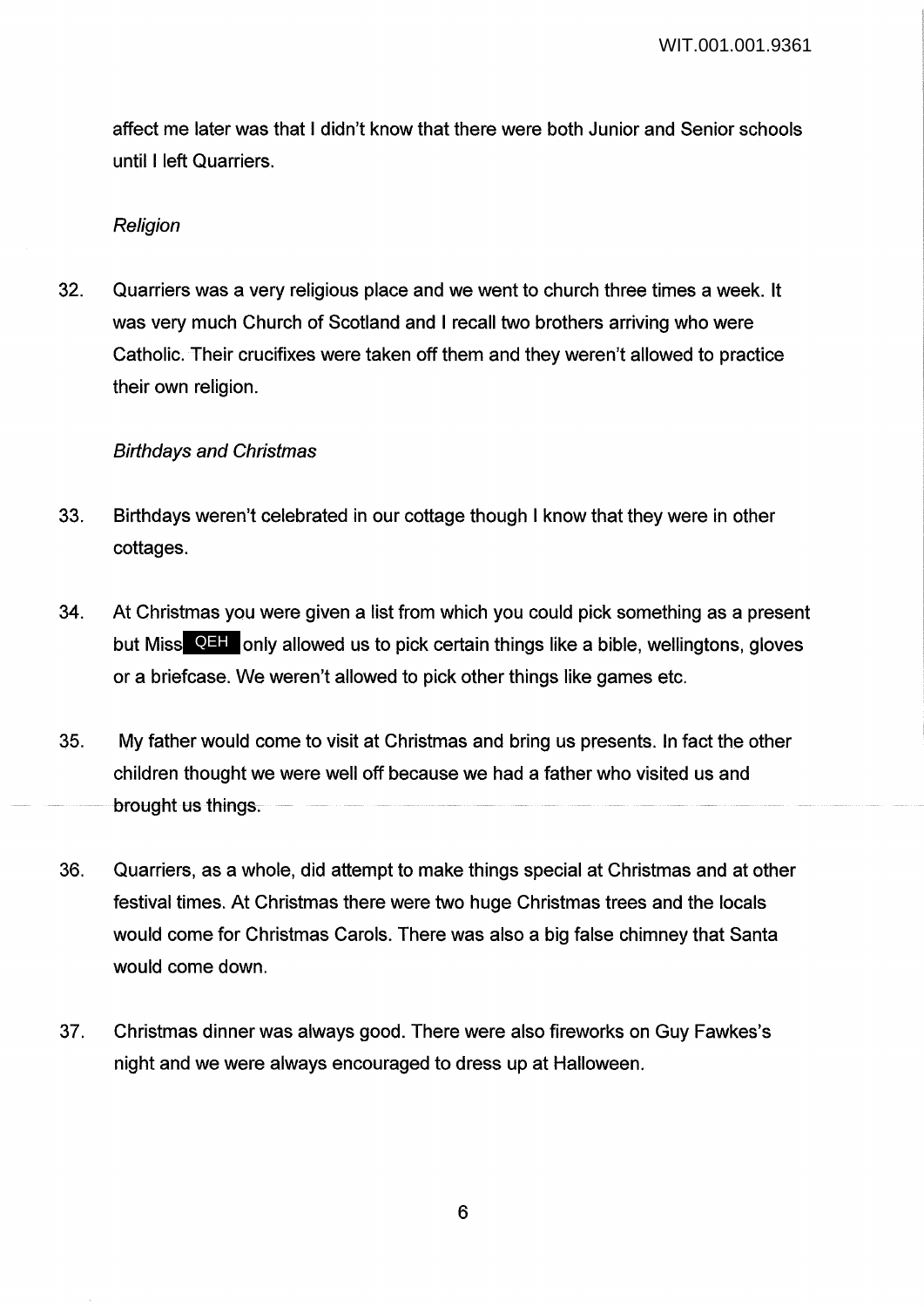affect me later was that I didn't know that there were both Junior and Senior schools until I left Quarriers.

#### **Religion**

32. Quarriers was a very religious place and we went to church three times a week. It was very much Church of Scotland and I recall two brothers arriving who were Catholic. Their crucifixes were taken off them and they weren't allowed to practice their own religion.

## Birthdays and Christmas

- 33. Birthdays weren't celebrated in our cottage though I know that they were in other cottages.
- 34. At Christmas you were given a list from which you could pick something as a present but Miss **QEH** only allowed us to pick certain things like a bible, wellingtons, gloves or a briefcase. We weren't allowed to pick other things like games etc.
- 35. My father would come to visit at Christmas and bring us presents. In fact the other children thought we were well off because we had a father who visited us and brought us things.
- 36. Quarriers, as a whole, did attempt to make things special at Christmas and at other festival times. At Christmas there were two huge Christmas trees and the locals would come for Christmas Carols. There was also a big false chimney that Santa would come down.
- 37. Christmas dinner was always good. There were also fireworks on Guy Fawkes's night and we were always encouraged to dress up at Halloween.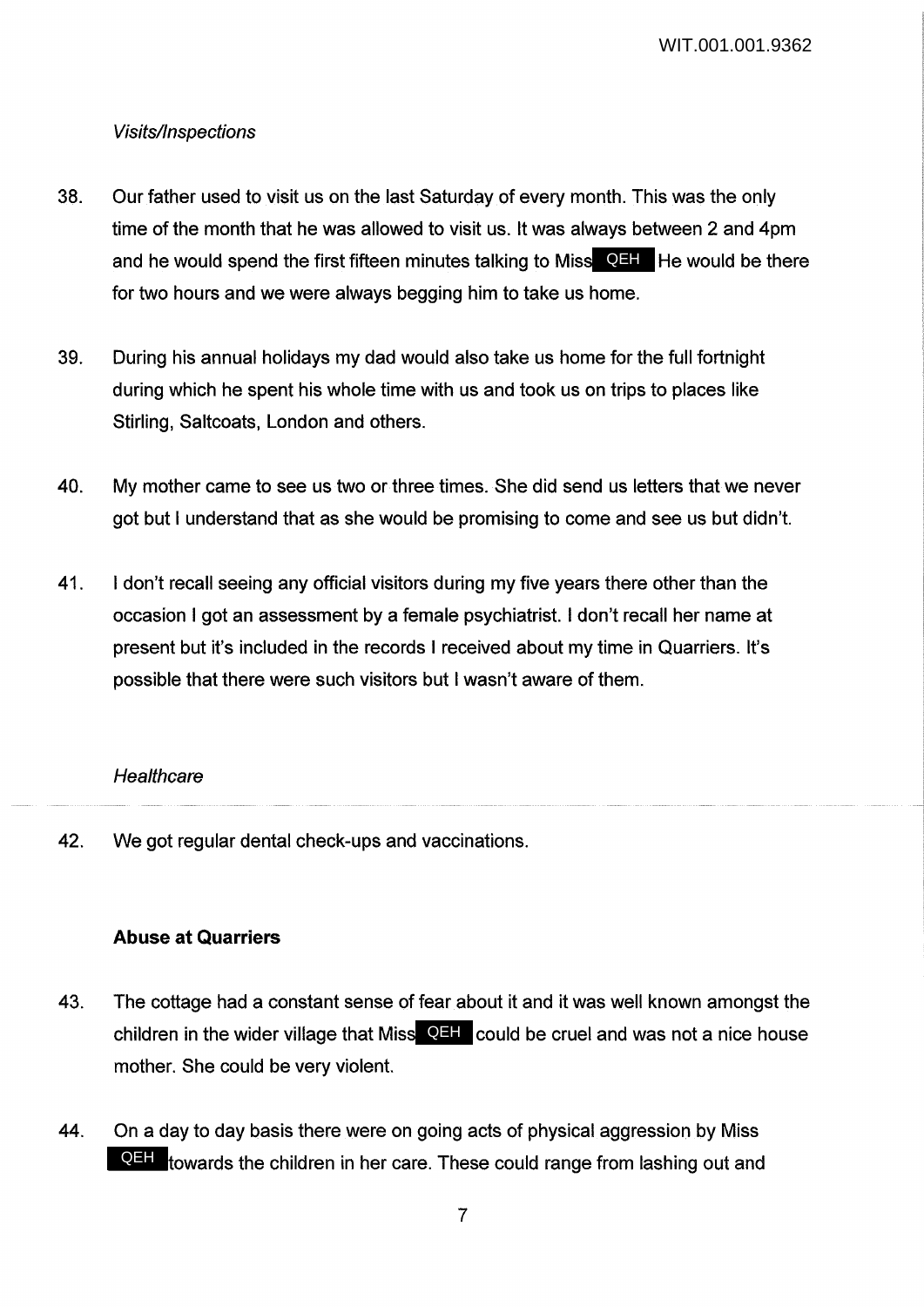# Visits/Inspections

- 38. Our father used to visit us on the last Saturday of every month. This was the only time of the month that he was allowed to visit us. It was always between 2 and 4pm and he would spend the first fifteen minutes talking to Miss<sup> QEH</sup>. He would be there for two hours and we were always begging him to take us home.
- 39. During his annual holidays my dad would also take us home for the full fortnight during which he spent his whole time with us and took us on trips to places like Stirling, Saltcoats, London and others.
- 40. My mother came to see us two or three times. She did send us letters that we never got but I understand that as she would be promising to come and see us but didn't.
- 41. I don't recall seeing any official visitors during my five years there other than the occasion I got an assessment by a female psychiatrist. I don't recall her name at present but it's included in the records I received about my time in Quarriers. It's possible that there were such visitors but I wasn't aware of them.

# **Healthcare**

42. We got regular dental check-ups and vaccinations.

## **Abuse at Quarriers**

- 43. The cottage had a constant sense of fear about it and it was well known amongst the children in the wider village that Miss QEH could be cruel and was not a nice house mother. She could be very violent.
- 44. On a day to day basis there were on going acts of physical aggression by Miss **QHH** towards the children in her care. These could range from lashing out and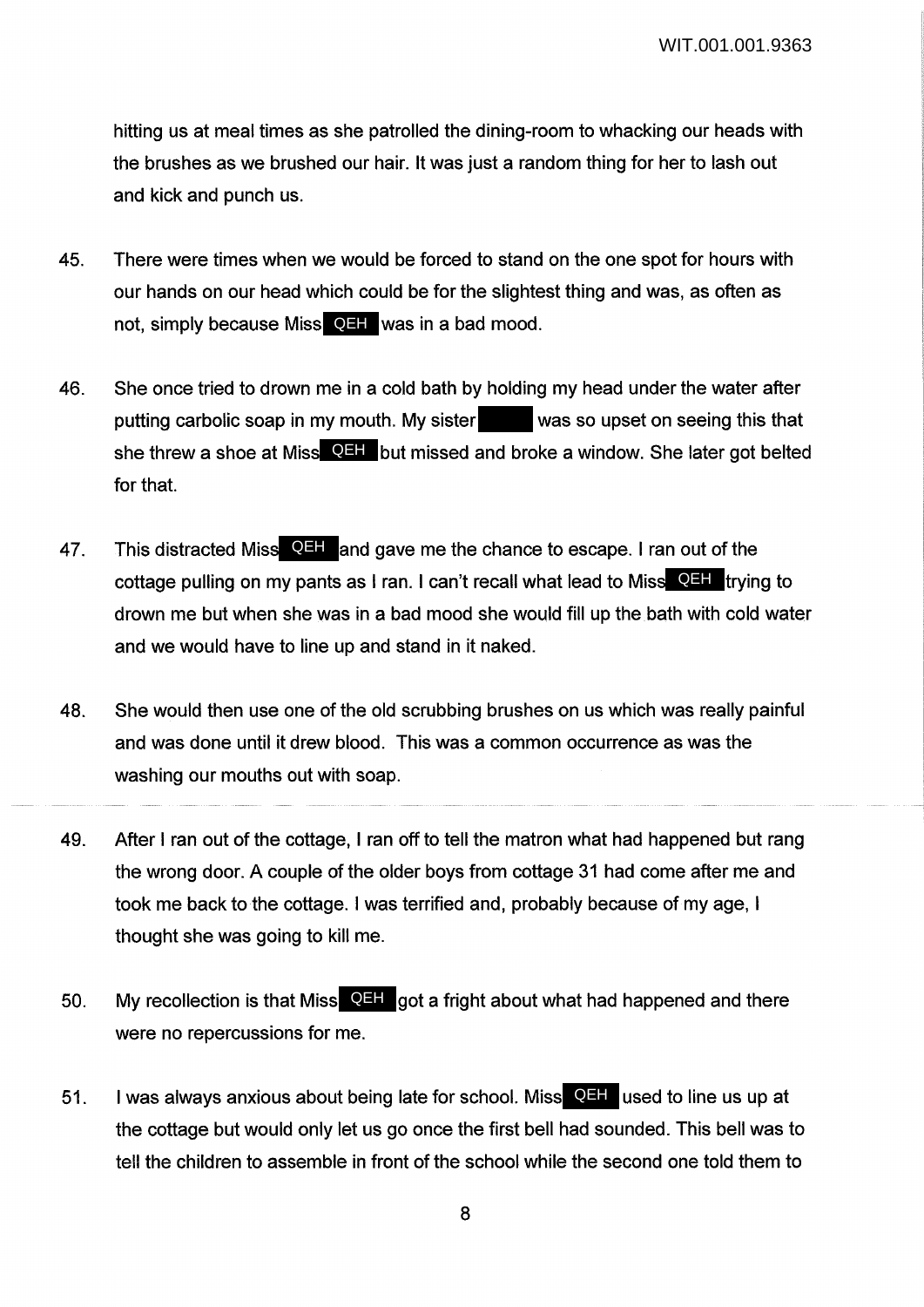hitting us at meal times as she patrolled the dining-room to whacking our heads with the brushes as we brushed our hair. It was just a random thing for her to lash out and kick and punch us.

- 45. There were times when we would be forced to stand on the one spot for hours with our hands on our head which could be for the slightest thing and was, as often as not, simply because Miss**CEH** was in a bad mood.
- 46. She once tried to drown me in a cold bath by holding my head under the water after putting carbolic soap in my mouth. My sister was so upset on seeing this that she threw a shoe at Miss**t QEH** but missed and broke a window. She later got belted for that.
- 47. This distracted Miss **QHI** and gave me the chance to escape. I ran out of the cottage pulling on my pants as I ran. I can't recall what lead to Miss QEH trying to drown me but when she was in a bad mood she would fill up the bath with cold water and we would have to line up and stand in it naked.
- 48. She would then use one of the old scrubbing brushes on us which was really painful and was done until it drew blood. This was a common occurrence as was the washing our mouths out with soap.
- 49. After I ran out of the cottage, I ran off to tell the matron what had happened but rang the wrong door. A couple of the older boys from cottage 31 had come after me and took me back to the cottage. I was terrified and, probably because of my age, I thought she was going to kill me.
- 50. My recollection is that Miss QEH got a fright about what had happened and there were no repercussions for me.
- 51. I was always anxious about being late for school. Miss **QHI** used to line us up at the cottage but would only let us go once the first bell had sounded. This bell was to tell the children to assemble in front of the school while the second one told them to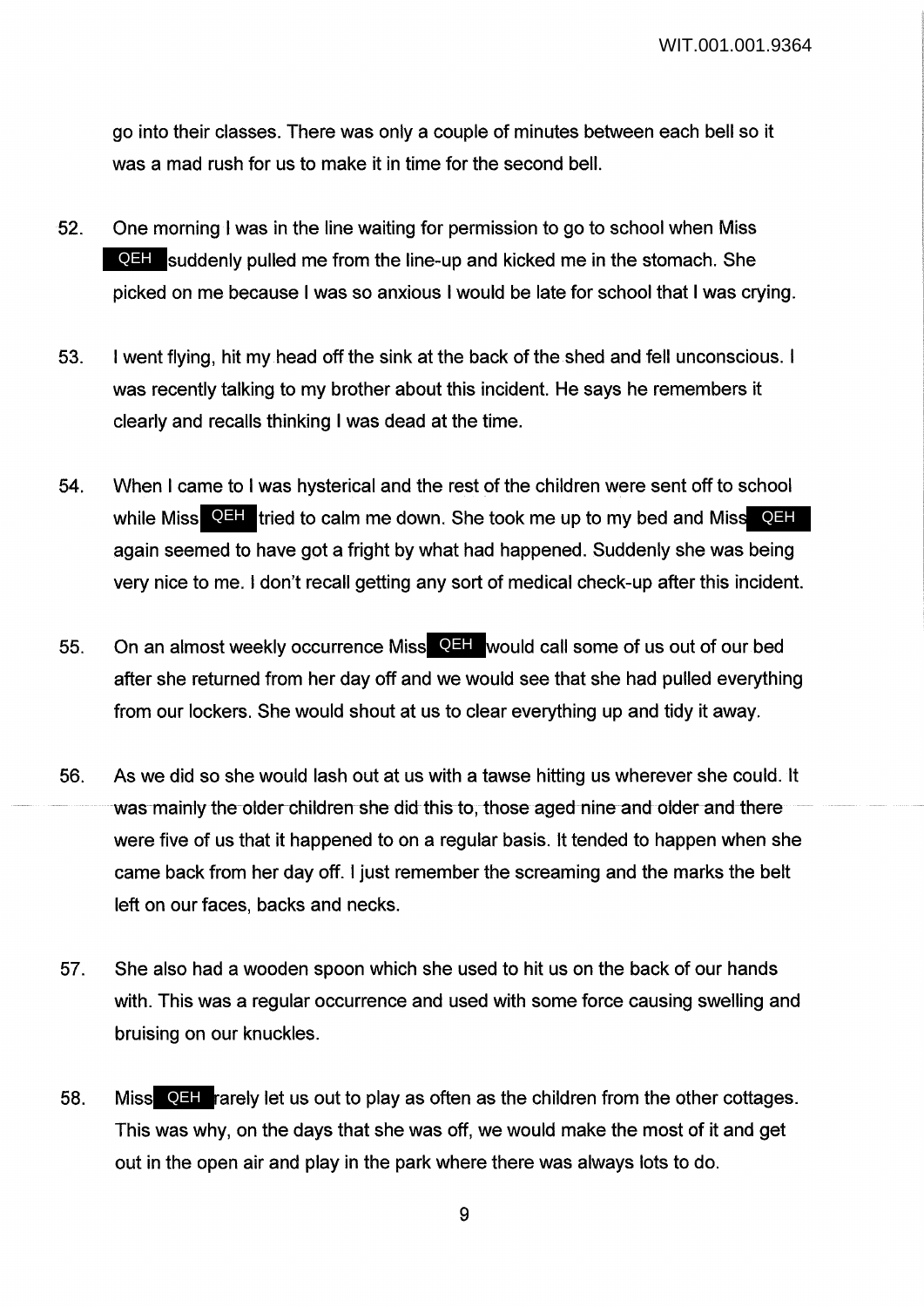go into their classes. There was only a couple of minutes between each bell so it was a mad rush for us to make it in time for the second bell.

- 52. One morning I was in the line waiting for permission to go to school when Miss **QEH** suddenly pulled me from the line-up and kicked me in the stomach. She picked on me because I was so anxious I would be late for school that I was crying.
- 53. I went flying, hit my head off the sink at the back of the shed and fell unconscious. I was recently talking to my brother about this incident. He says he remembers it clearly and recalls thinking I was dead at the time.
- 54. When I came to I was hysterical and the rest of the children were sent off to school while Miss QEH tried to calm me down. She took me up to my bed and Miss QEH again seemed to have got a fright by what had happened. Suddenly she was being very nice to me. I don't recall getting any sort of medical check-up after this incident.
- 55. On an almost weekly occurrence Miss QEH would call some of us out of our bed after she returned from her day off and we would see that she had pulled everything from our lockers. She would shout at us to clear everything up and tidy it away.
- 56. As we did so she would lash out at us with a tawse hitting us wherever she could. It was mainly the older children she did this to, those aged nine and older and there were five of us that it happened to on a regular basis. It tended to happen when she came back from her day off. I just remember the screaming and the marks the belt left on our faces, backs and necks.
- 57. She also had a wooden spoon which she used to hit us on the back of our hands with. This was a regular occurrence and used with some force causing swelling and bruising on our knuckles.
- 58. Miss QEH rarely let us out to play as often as the children from the other cottages. This was why, on the days that she was off, we would make the most of it and get out in the open air and play in the park where there was always lots to do.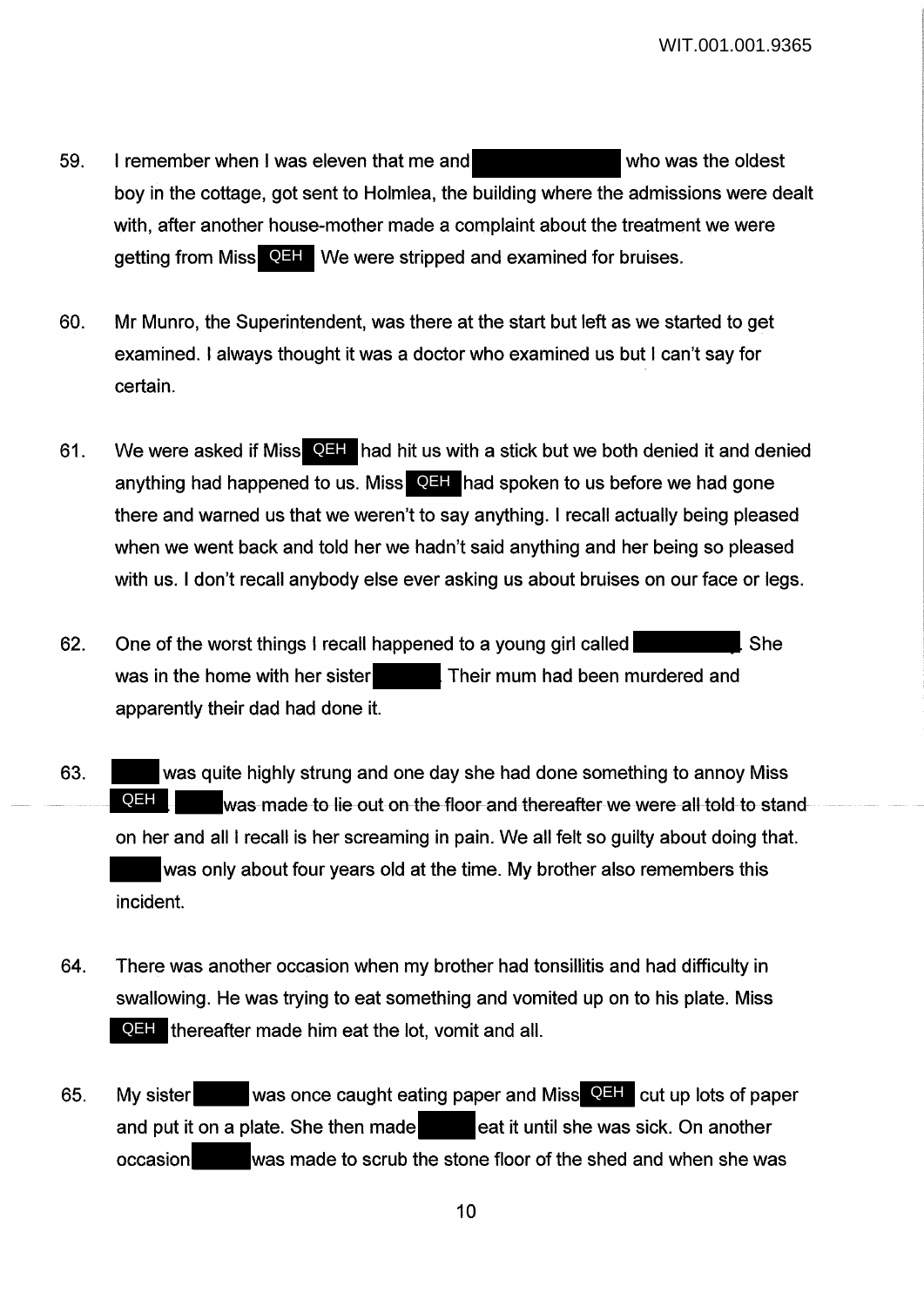- 59. I remember when I was eleven that me and **the same that who was the oldest** boy in the cottage, got sent to Holmlea, the building where the admissions were dealt with, after another house-mother made a complaint about the treatment we were getting from Miss QEH We were stripped and examined for bruises.
- 60. Mr Munro, the Superintendent, was there at the start but left as we started to get examined. I always thought it was a doctor who examined us but I can't say for certain.
- 61. We were asked if Miss QEH had hit us with a stick but we both denied it and denied anything had happened to us. Miss **QEH** had spoken to us before we had gone there and warned us that we weren't to say anything. I recall actually being pleased when we went back and told her we hadn't said anything and her being so pleased with us. I don't recall anybody else ever asking us about bruises on our face or legs.
- 62. One of the worst things I recall happened to a young girl called She was in the home with her sister **Their mum had been murdered and** apparently their dad had done it.
- 63. was quite highly strung and one day she had done something to annoy Miss was made to lie out on the floor and thereafter we were all told to stand on her and all I recall is her screaming in pain. We all felt so guilty about doing that. was only about four years old at the time. My brother also remembers this incident. QEH |
- 64. There was another occasion when my brother had tonsillitis and had difficulty in swallowing. He was trying to eat something and vomited up on to his plate. Miss **QEH** thereafter made him eat the lot, vomit and all.
- 65. My sister was once caught eating paper and Miss QEH cut up lots of paper and put it on a plate. She then made **the seat** it until she was sick. On another occasion was made to scrub the stone floor of the shed and when she was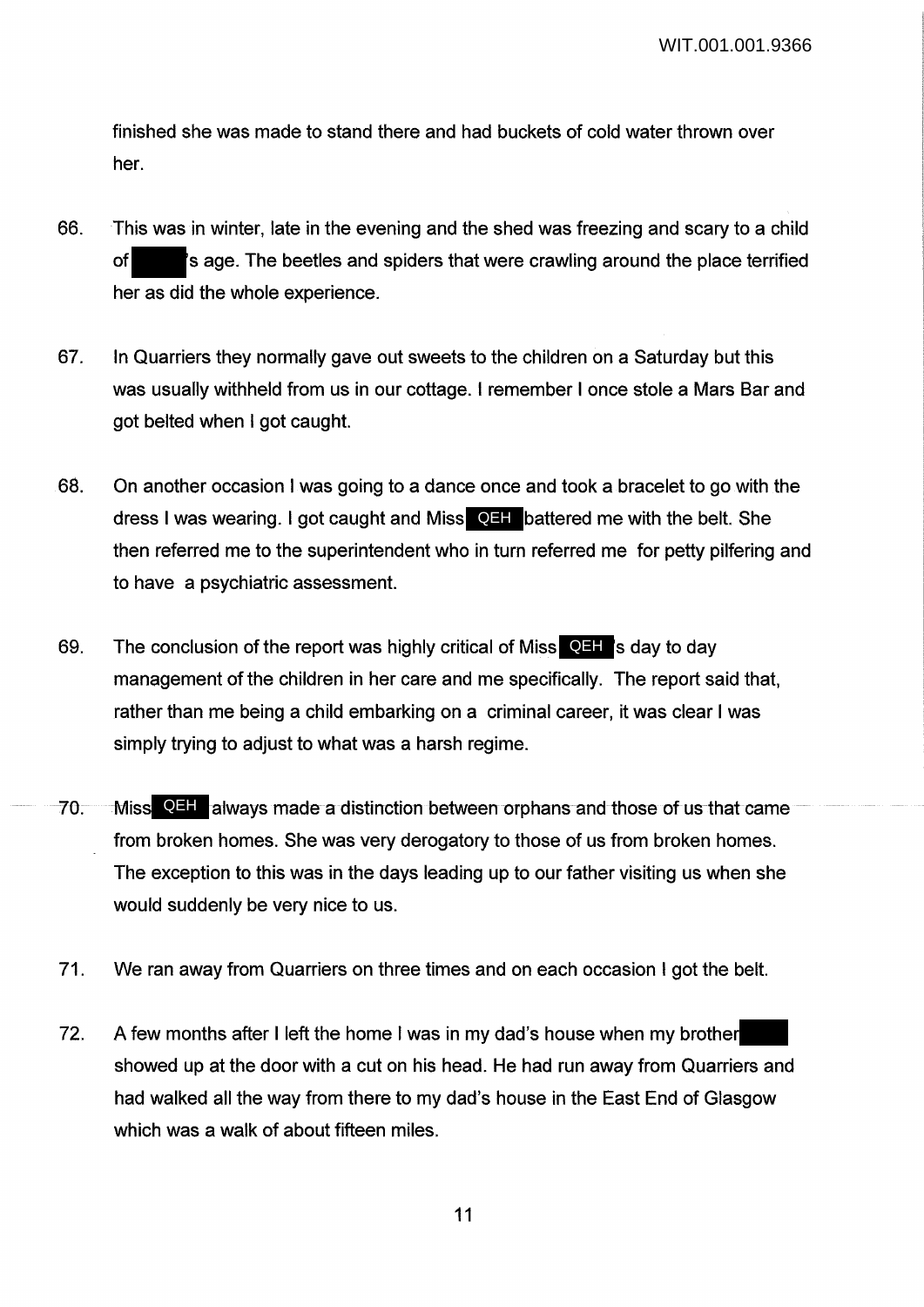finished she was made to stand there and had buckets of cold water thrown over her.

- 66. This was in winter, late in the evening and the shed was freezing and scary to a child of 's age. The beetles and spiders that were crawling around the place terrified her as did the whole experience.
- 67. In Quarriers they normally gave out sweets to the children on a Saturday but this was usually withheld from us in our cottage. I remember I once stole a Mars Bar and got belted when I got caught.
- 68. On another occasion I was going to a dance once and took a bracelet to go with the dress I was wearing. I got caught and Miss **QHI** battered me with the belt. She then referred me to the superintendent who in turn referred me for petty pilfering and to have a psychiatric assessment.
- 69. The conclusion of the report was highly critical of Miss**CEH**'s day to day management of the children in her care and me specifically. The report said that, rather than me being a child embarking on a criminal career, it was clear I was simply trying to adjust to what was a harsh regime.
- 70. Miss QHI always made a distinction between orphans and those of us that came from broken homes. She was very derogatory to those of us from broken homes. The exception to this was in the days leading up to our father visiting us when she would suddenly be very nice to us.
- 71. We ran away from Quarriers on three times and on each occasion I got the belt.
- 72. A few months after I left the home I was in my dad's house when my brother showed up at the door with a cut on his head. He had run away from Quarriers and had walked all the way from there to my dad's house in the East End of Glasgow which was a walk of about fifteen miles.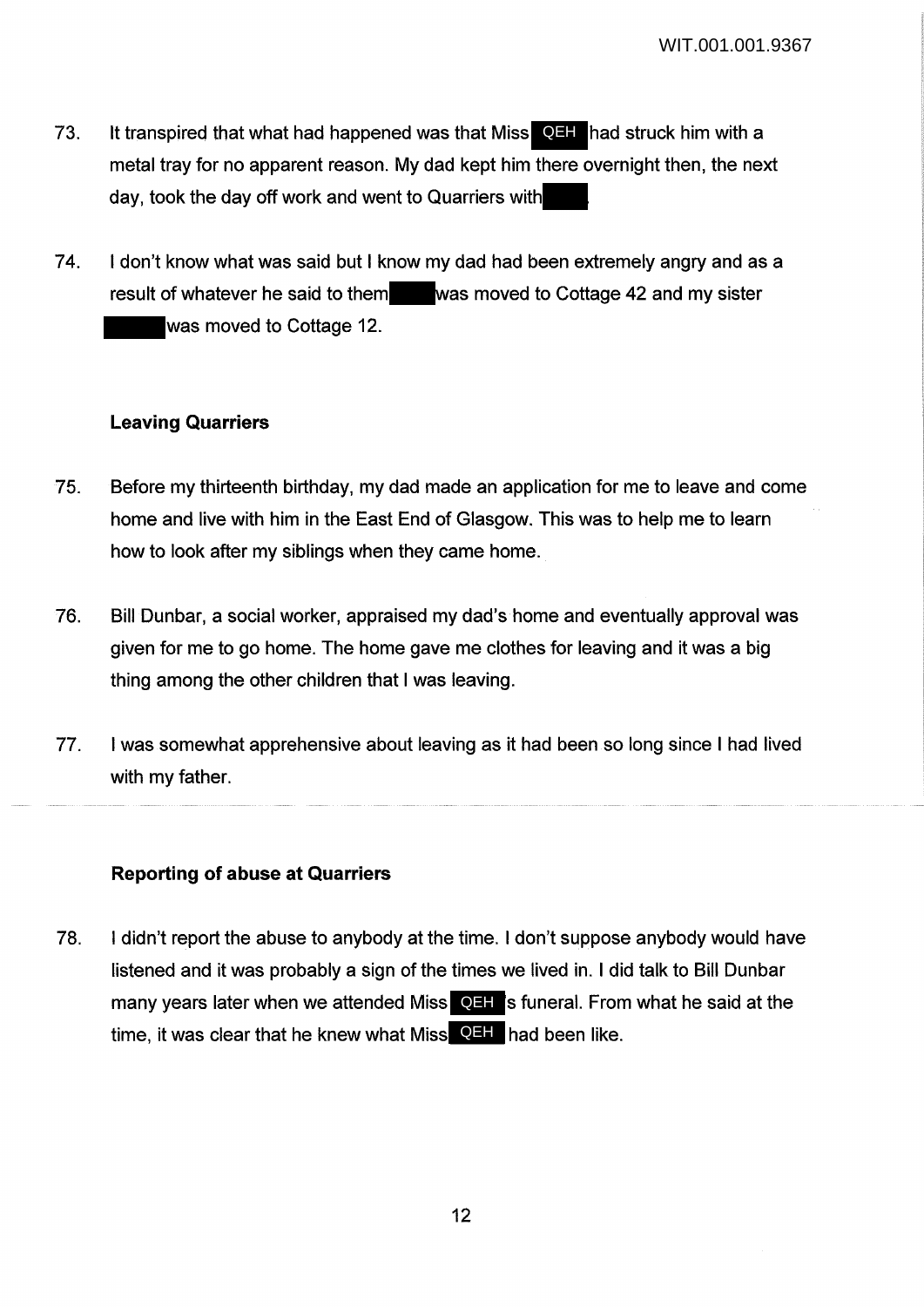- 73. It transpired that what had happened was that Miss **QEH** had struck him with a metal tray for no apparent reason. My dad kept him there overnight then, the next day, took the day off work and went to Quarriers with
- 74. I don't know what was said but I know my dad had been extremely angry and as a result of whatever he said to them was moved to Cottage 42 and my sister was moved to Cottage 12.

## **Leaving Quarriers**

- 75. Before my thirteenth birthday, my dad made an application for me to leave and come home and live with him in the East End of Glasgow. This was to help me to learn how to look after my siblings when they came home.
- 76. Bill Dunbar, a social worker, appraised my dad's home and eventually approval was given for me to go home. The home gave me clothes for leaving and it was a big thing among the other children that I was leaving.
- 77. I was somewhat apprehensive about leaving as it had been so long since I had lived with my father.

#### **Reporting of abuse at Quarriers**

78. I didn't report the abuse to anybody at the time. I don't suppose anybody would have listened and it was probably a sign of the times we lived in. I did talk to Bill Dunbar many years later when we attended Miss **QEH** is funeral. From what he said at the time, it was clear that he knew what Miss **QEH** had been like.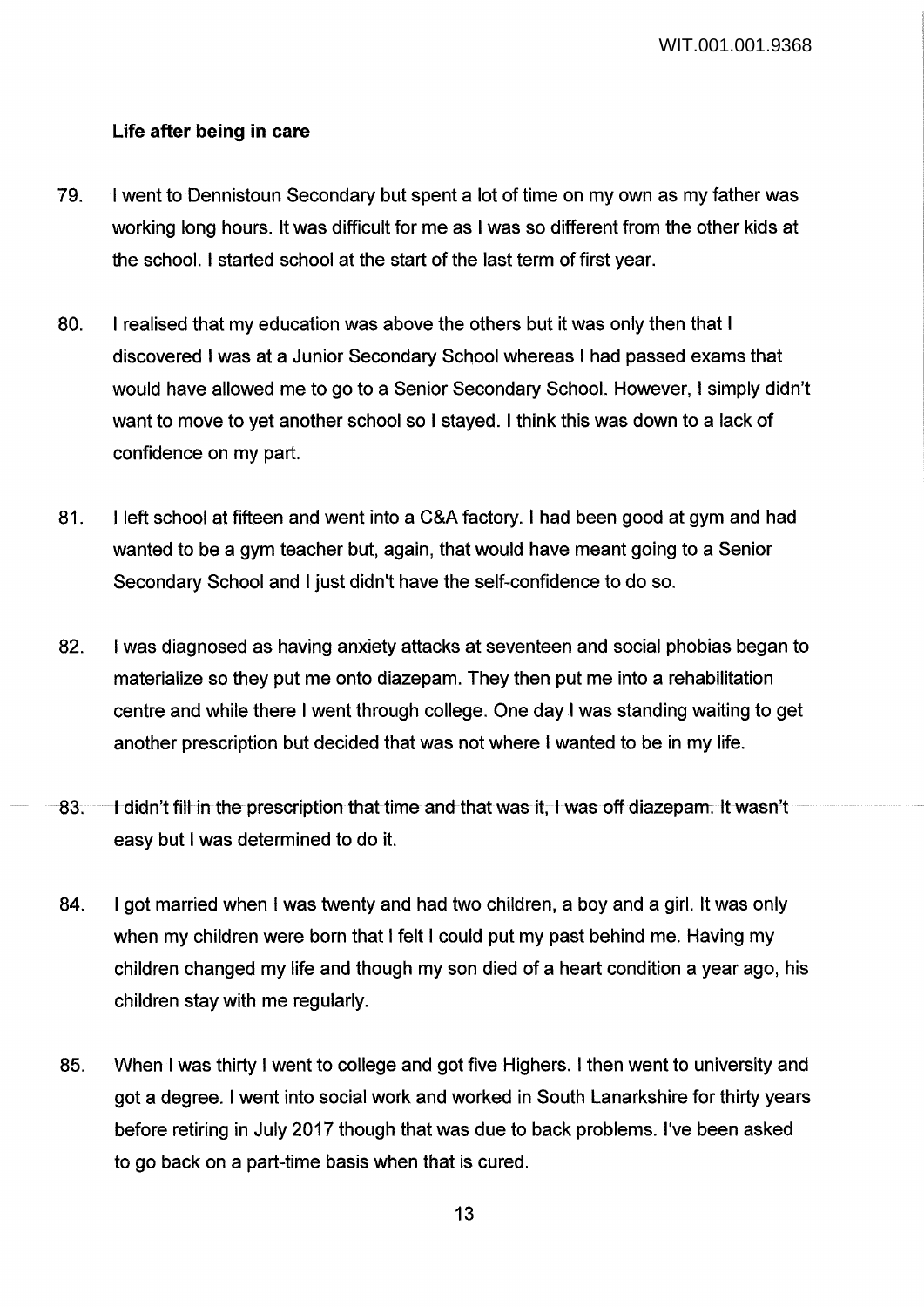## **Life after being in care**

- 79. I went to Dennistoun Secondary but spent a lot of time on my own as my father was working long hours. It was difficult for me as I was so different from the other kids at the school. I started school at the start of the last term of first year.
- 80. I realised that my education was above the others but it was only then that I discovered I was at a Junior Secondary School whereas I had passed exams that would have allowed me to go to a Senior Secondary School. However, I simply didn't want to move to yet another school so I stayed. I think this was down to a lack of confidence on my part.
- 81. I left school at fifteen and went into a C&A factory. I had been good at gym and had wanted to be a gym teacher but, again, that would have meant going to a Senior Secondary School and I just didn't have the self-confidence to do so.
- 82. I was diagnosed as having anxiety attacks at seventeen and social phobias began to materialize so they put me onto diazepam. They then put me into a rehabilitation centre and while there I went through college. One day I was standing waiting to get another prescription but decided that was not where I wanted to be in my life.
- 83. I didn't fill in the prescription that time and that was it, I was off diazepam. It wasn't easy but I was determined to do it.
- 84. I got married when I was twenty and had two children, a boy and a girl. It was only when my children were born that I felt I could put my past behind me. Having my children changed my life and though my son died of a heart condition a year ago, his children stay with me regularly.
- 85. When I was thirty I went to college and got five Highers. I then went to university and got a degree. I went into social work and worked in South Lanarkshire for thirty years before retiring in July 2017 though that was due to back problems. I've been asked to go back on a part-time basis when that is cured.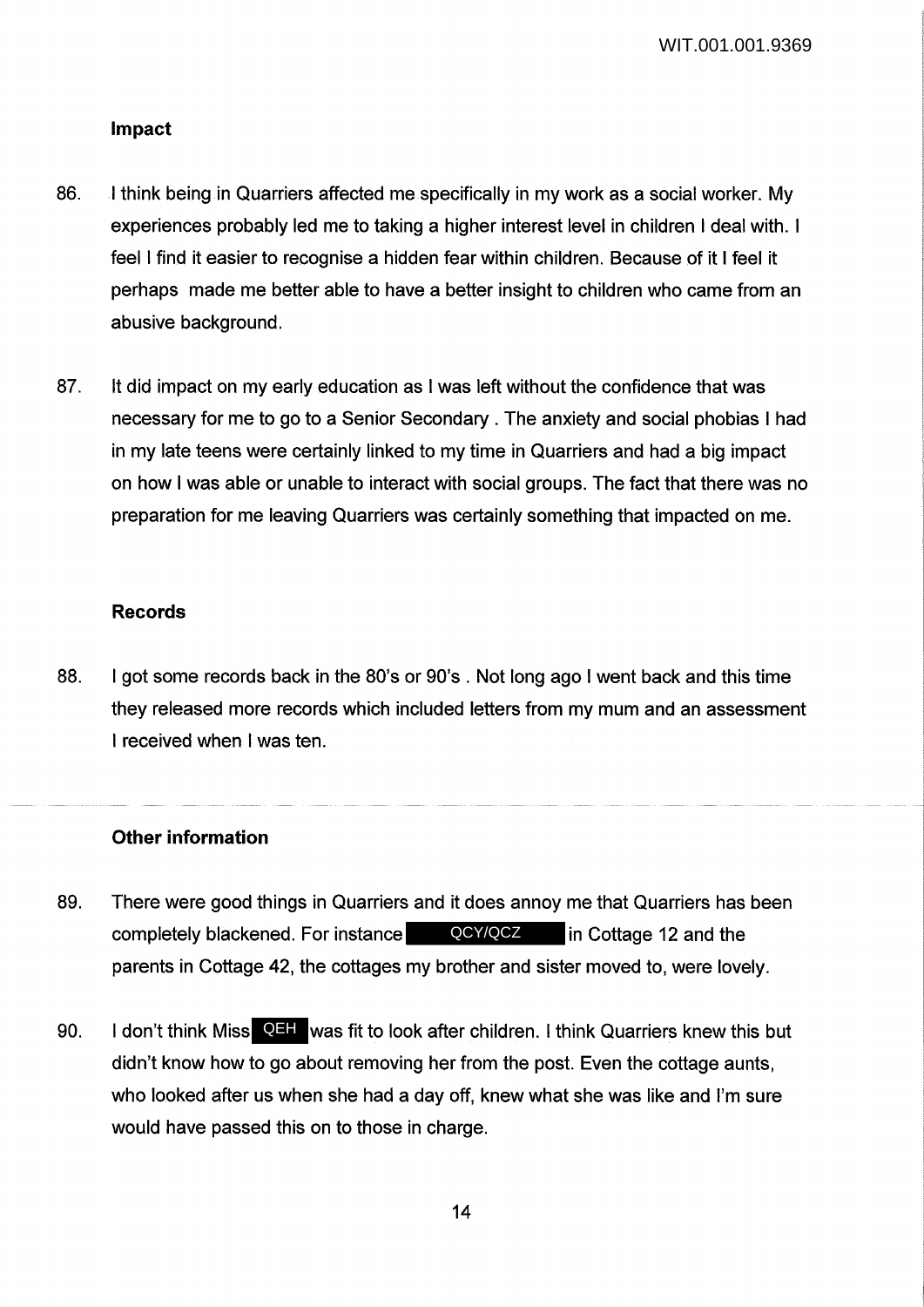#### **Impact**

- 86. I think being in Quarriers affected me specifically in my work as a social worker. My experiences probably led me to taking a higher interest level in children I deal with. I feel I find it easier to recognise a hidden fear within children. Because of it I feel it perhaps made me better able to have a better insight to children who came from an abusive background.
- 87. It did impact on my early education as I was left without the confidence that was necessary for me to go to a Senior Secondary . The anxiety and social phobias I had in my late teens were certainly linked to my time in Quarriers and had a big impact on how I was able or unable to interact with social groups. The fact that there was no preparation for me leaving Quarriers was certainly something that impacted on me.

#### **Records**

88. I got some records back in the 80's or 90's . Not long ago I went back and this time they released more records which included letters from my mum and an assessment I received when I was ten.

## **Other information**

- 89. There were good things in Quarriers and it does annoy me that Quarriers has been completely blackened. For instance **in QCY/QCZ** in Cottage 12 and the parents in Cottage 42, the cottages my brother and sister moved to, were lovely.
- 90. I don't think Miss QEH was fit to look after children. I think Quarriers knew this but didn't know how to go about removing her from the post. Even the cottage aunts, who looked after us when she had a day off, knew what she was like and I'm sure would have passed this on to those in charge.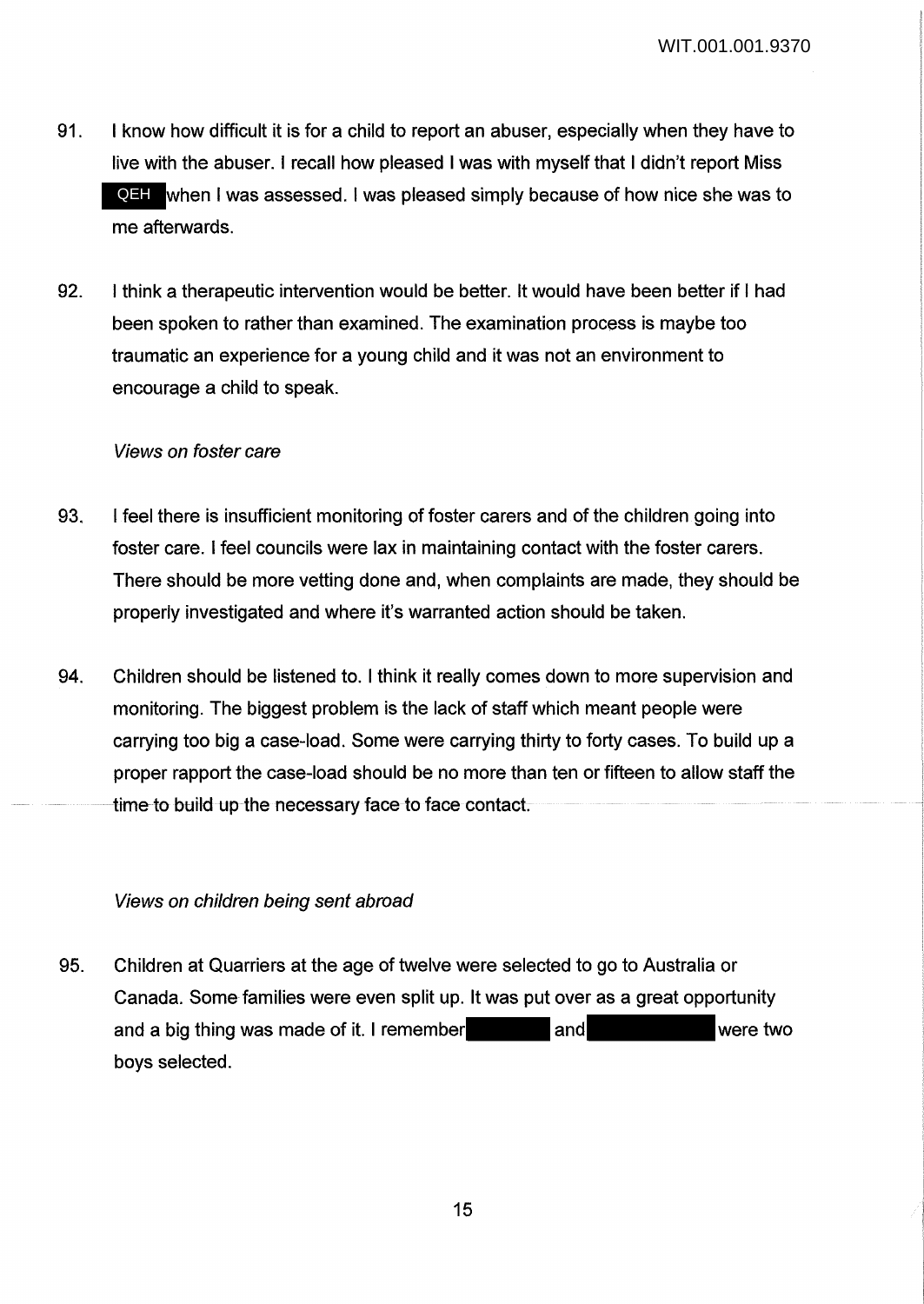- 91. I know how difficult it is for a child to report an abuser, especially when they have to live with the abuser. I recall how pleased I was with myself that I didn't report Miss QEH when I was assessed. I was pleased simply because of how nice she was to me afterwards.
- 92. I think a therapeutic intervention would be better. It would have been better if I had been spoken to rather than examined. The examination process is maybe too traumatic an experience for a young child and it was not an environment to encourage a child to speak.

## Views on foster care

- 93. I feel there is insufficient monitoring of foster carers and of the children going into foster care. I feel councils were lax in maintaining contact with the foster carers. There should be more vetting done and, when complaints are made, they should be properly investigated and where it's warranted action should be taken.
- 94. Children should be listened to. I think it really comes down to more supervision and monitoring. The biggest problem is the lack of staff which meant people were carrying too big a case-load. Some were carrying thirty to forty cases. To build up a proper rapport the case-load should be no more than ten or fifteen to allow staff the time to build up the necessary face to face contact.

#### Views on children being sent abroad

95. Children at Quarriers at the age of twelve were selected to go to Australia or Canada. Some families were even split up. It was put over as a great opportunity and a big thing was made of it. I remember and and were two boys selected.